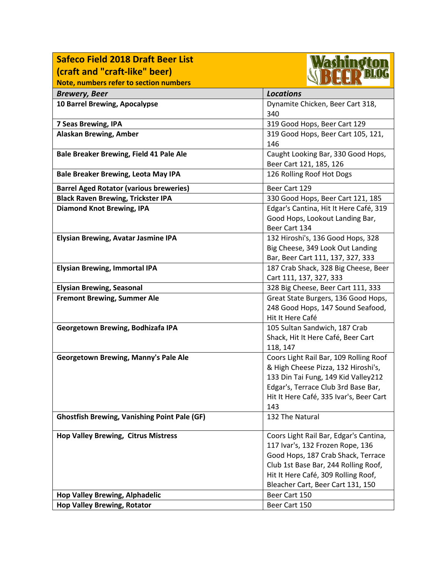| <b>Safeco Field 2018 Draft Beer List</b>            | <i>las</i> hindion                                                         |
|-----------------------------------------------------|----------------------------------------------------------------------------|
| (craft and "craft-like" beer)                       |                                                                            |
| Note, numbers refer to section numbers              |                                                                            |
| <b>Brewery, Beer</b>                                | <b>Locations</b>                                                           |
| 10 Barrel Brewing, Apocalypse                       | Dynamite Chicken, Beer Cart 318,                                           |
|                                                     | 340                                                                        |
| 7 Seas Brewing, IPA                                 | 319 Good Hops, Beer Cart 129                                               |
| <b>Alaskan Brewing, Amber</b>                       | 319 Good Hops, Beer Cart 105, 121,                                         |
|                                                     | 146                                                                        |
| Bale Breaker Brewing, Field 41 Pale Ale             | Caught Looking Bar, 330 Good Hops,                                         |
|                                                     | Beer Cart 121, 185, 126                                                    |
| <b>Bale Breaker Brewing, Leota May IPA</b>          | 126 Rolling Roof Hot Dogs                                                  |
| <b>Barrel Aged Rotator (various breweries)</b>      | Beer Cart 129                                                              |
| <b>Black Raven Brewing, Trickster IPA</b>           | 330 Good Hops, Beer Cart 121, 185                                          |
| <b>Diamond Knot Brewing, IPA</b>                    | Edgar's Cantina, Hit It Here Café, 319                                     |
|                                                     | Good Hops, Lookout Landing Bar,                                            |
|                                                     | Beer Cart 134                                                              |
| <b>Elysian Brewing, Avatar Jasmine IPA</b>          | 132 Hiroshi's, 136 Good Hops, 328                                          |
|                                                     | Big Cheese, 349 Look Out Landing                                           |
|                                                     | Bar, Beer Cart 111, 137, 327, 333                                          |
| <b>Elysian Brewing, Immortal IPA</b>                | 187 Crab Shack, 328 Big Cheese, Beer                                       |
|                                                     | Cart 111, 137, 327, 333                                                    |
| <b>Elysian Brewing, Seasonal</b>                    | 328 Big Cheese, Beer Cart 111, 333                                         |
| <b>Fremont Brewing, Summer Ale</b>                  | Great State Burgers, 136 Good Hops,                                        |
|                                                     | 248 Good Hops, 147 Sound Seafood,                                          |
|                                                     | Hit It Here Café                                                           |
| Georgetown Brewing, Bodhizafa IPA                   | 105 Sultan Sandwich, 187 Crab                                              |
|                                                     | Shack, Hit It Here Café, Beer Cart                                         |
|                                                     | 118, 147                                                                   |
| <b>Georgetown Brewing, Manny's Pale Ale</b>         | Coors Light Rail Bar, 109 Rolling Roof                                     |
|                                                     | & High Cheese Pizza, 132 Hiroshi's,<br>133 Din Tai Fung, 149 Kid Valley212 |
|                                                     | Edgar's, Terrace Club 3rd Base Bar,                                        |
|                                                     | Hit It Here Café, 335 Ivar's, Beer Cart                                    |
|                                                     | 143                                                                        |
| <b>Ghostfish Brewing, Vanishing Point Pale (GF)</b> | 132 The Natural                                                            |
|                                                     |                                                                            |
| <b>Hop Valley Brewing, Citrus Mistress</b>          | Coors Light Rail Bar, Edgar's Cantina,                                     |
|                                                     | 117 Ivar's, 132 Frozen Rope, 136                                           |
|                                                     | Good Hops, 187 Crab Shack, Terrace                                         |
|                                                     | Club 1st Base Bar, 244 Rolling Roof,                                       |
|                                                     | Hit It Here Café, 309 Rolling Roof,                                        |
|                                                     | Bleacher Cart, Beer Cart 131, 150                                          |
| <b>Hop Valley Brewing, Alphadelic</b>               | Beer Cart 150                                                              |
| <b>Hop Valley Brewing, Rotator</b>                  | Beer Cart 150                                                              |